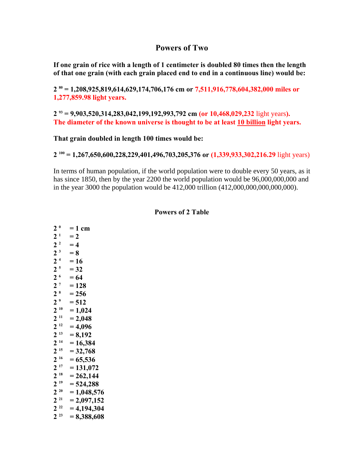## **Powers of Two**

**If one grain of rice with a length of 1 centimeter is doubled 80 times then the length of that one grain (with each grain placed end to end in a continuous line) would be:** 

**2 80 = 1,208,925,819,614,629,174,706,176 cm or 7,511,916,778,604,382,000 miles or 1,277,859.98 light years.** 

2<sup>93</sup> = 9,903,520,314,283,042,199,192,993,792 cm (or 10,468,029,232 light years). **The diameter of the known universe is thought to be at least 10 billion light years.** 

**That grain doubled in length 100 times would be:** 

 $2^{100}$  = 1,267,650,600,228,229,401,496,703,205,376 or (1,339,933,302,216.29 light years)

In terms of human population, if the world population were to double every 50 years, as it has since 1850, then by the year 2200 the world population would be 96,000,000,000 and in the year 3000 the population would be 412,000 trillion (412,000,000,000,000,000).

## **Powers of 2 Table**

 $2^0 = 1$  cm  $2^1 = 2$  $2^2 = 4$  $2^3 = 8$  $2^4 = 16$  $2^5 = 32$  $2^6 = 64$  $2^7 = 128$  $2^8$  = 256<br>  $2^9$  = 512  $= 512$  $2^{10} = 1,024$  $2^{11}$  = 2,048  $2^{12} = 4,096$  $2^{13} = 8,192$  $2^{14} = 16,384$  $2^{15} = 32,768$  $2^{16} = 65,536$  $2^{17} = 131,072$  $2^{18} = 262,144$  $2^{19} = 524,288$  $2^{20} = 1,048,576$  $2^{21}$  = 2,097,152<br>  $2^{22}$  = 4,194,304  $= 4,194,304$  $2^{23} = 8,388,608$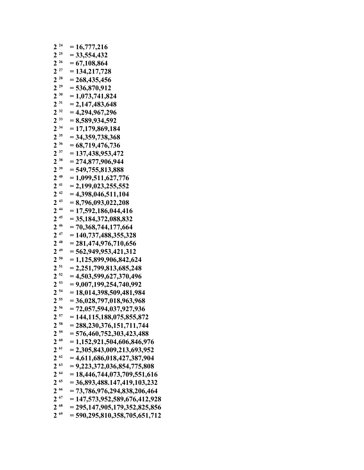| $2^{24}$ | $= 16,777,216$                   |
|----------|----------------------------------|
| $2^{25}$ | $= 33,554,432$                   |
| $2^{26}$ | $= 67,108,864$                   |
| $2^{27}$ | $= 134, 217, 728$                |
| $2^{28}$ | $= 268,435,456$                  |
| $2^{29}$ | $= 536,870,912$                  |
| $2^{30}$ | $= 1,073,741,824$                |
| $2^{31}$ | $= 2,147,483,648$                |
| $2^{32}$ | $= 4,294,967,296$                |
| $2^{33}$ | $= 8,589,934,592$                |
| $2^{34}$ | $= 17,179,869,184$               |
| $2^{35}$ | $= 34,359,738,368$               |
| $2^{36}$ | $= 68,719,476,736$               |
| $2^{37}$ | $= 137,438,953,472$              |
| $2^{38}$ | $= 274,877,906,944$              |
| $2^{39}$ | $= 549,755,813,888$              |
| $2^{40}$ | $= 1,099,511,627,776$            |
| $2^{41}$ | $= 2,199,023,255,552$            |
| $2^{42}$ | $= 4,398,046,511,104$            |
| $2^{43}$ | $= 8,796,093,022,208$            |
| $2^{44}$ | $= 17,592,186,044,416$           |
| $2^{45}$ | $= 35,184,372,088,832$           |
| $2^{46}$ | $= 70,368,744,177,664$           |
| $2^{47}$ | $= 140,737,488,355,328$          |
| $2^{48}$ | $= 281,474,976,710,656$          |
| $2^{49}$ | $= 562,949,953,421,312$          |
| $2^{50}$ | $= 1,125,899,906,842,624$        |
| $2^{51}$ | $= 2,251,799,813,685,248$        |
| $2^{52}$ | $= 4,503,599,627,370,496$        |
| $2^{53}$ | $= 9,007,199,254,740,992$        |
| $2^{54}$ | $= 18,014,398,509,481,984$       |
| $2^{55}$ | $= 36,028,797,018,963,968$       |
| $2^{56}$ | $= 72,057,594,037,927,936$       |
| $2^{57}$ | $= 144, 115, 188, 075, 855, 872$ |
| $2^{58}$ | $= 288,230,376,151,711,744$      |
| $2^{59}$ | $= 576,460,752,303,423,488$      |
| $2^{60}$ | $= 1,152,921,504,606,846,976$    |
| $2^{61}$ | $= 2,305,843,009,213,693,952$    |
| $2^{62}$ | $= 4,611,686,018,427,387,904$    |
| $2^{63}$ | $= 9,223,372,036,854,775,808$    |
| $2^{64}$ | $= 18,446,744,073,709,551,616$   |
| $2^{65}$ | $= 36,893,488.147,419,103,232$   |
| $2^{66}$ | $= 73,786,976,294,838,206,464$   |
| $2^{67}$ | $= 147,573,952,589,676,412,928$  |
| $2^{68}$ | $= 295,147,905,179,352,825,856$  |
| $2^{69}$ | $= 590,295,810,358,705,651,712$  |
|          |                                  |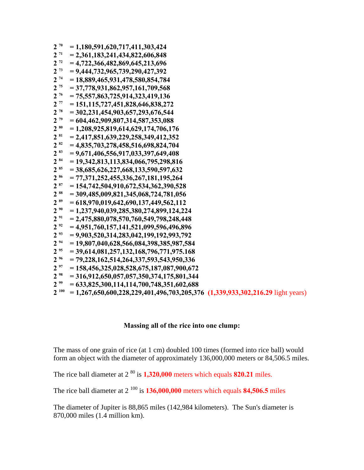| $2^{70}$  | $= 1,180,591,620,717,411,303,424$                                                  |
|-----------|------------------------------------------------------------------------------------|
| $2^{71}$  | $= 2,361,183,241,434,822,606,848$                                                  |
| $2^{72}$  | $= 4,722,366,482,869,645,213,696$                                                  |
| $2^{73}$  | $= 9,444,732,965,739,290,427,392$                                                  |
| $2^{74}$  | $= 18,889,465,931,478,580,854,784$                                                 |
| $2^{75}$  | $= 37,778,931,862,957,161,709,568$                                                 |
| $2^{76}$  | $= 75,557,863,725,914,323,419,136$                                                 |
| $2^{77}$  | $= 151, 115, 727, 451, 828, 646, 838, 272$                                         |
| $2^{78}$  | $= 302,231,454,903,657,293,676,544$                                                |
| $2^{79}$  | $= 604,462,909,807,314,587,353,088$                                                |
| $2^{80}$  | $= 1,208,925,819,614,629,174,706,176$                                              |
| $2^{81}$  | $= 2,417,851,639,229,258,349,412,352$                                              |
| $2^{82}$  | $= 4,835,703,278,458,516,698,824,704$                                              |
| $2^{83}$  | $= 9,671,406,556,917,033,397,649,408$                                              |
| $2^{84}$  | $= 19,342,813,113,834,066,795,298,816$                                             |
| $2^{85}$  | $= 38,685,626,227,668,133,590,597,632$                                             |
| 2 86      | $= 77,371,252,455,336,267,181,195,264$                                             |
| $2^{87}$  | $= 154,742,504,910,672,534,362,390,528$                                            |
| 2 88      | $= 309,485,009,821,345,068,724,781,056$                                            |
| $2^{89}$  | $= 618,970,019,642,690,137,449,562,112$                                            |
| $2^{90}$  | $= 1,237,940,039,285,380,274,899,124,224$                                          |
| $2^{91}$  | $= 2,475,880,078,570,760,549,798,248,448$                                          |
| $2^{92}$  | $= 4,951,760,157,141,521,099,596,496,896$                                          |
| $2^{93}$  | $= 9,903,520,314,283,042,199,192,993,792$                                          |
| $2^{94}$  | $= 19,807,040,628,566,084,398,385,987,584$                                         |
| $2^{95}$  | $= 39,614,081,257,132,168,796,771,975.168$                                         |
| $2^{96}$  | $= 79,228,162,514,264,337,593,543,950,336$                                         |
| $2^{97}$  | $= 158,456,325,028,528,675,187,087,900,672$                                        |
| $2^{98}$  | $= 316,912,650,057,057,350,374,175,801,344$                                        |
| $2^{99}$  | $= 633,825,300,114,114,700,748,351,602,688$                                        |
| $2^{100}$ | $= 1,267,650,600,228,229,401,496,703,205,376$ $(1,339,933,302,216.29$ light years) |
|           |                                                                                    |

## **Massing all of the rice into one clump:**

The mass of one grain of rice (at 1 cm) doubled 100 times (formed into rice ball) would form an object with the diameter of approximately 136,000,000 meters or 84,506.5 miles.

The rice ball diameter at  $2^{80}$  is  $1,320,000$  meters which equals **820.21** miles.

The rice ball diameter at  $2^{100}$  is  $136,000,000$  meters which equals  $84,506.5$  miles

The diameter of Jupiter is 88,865 miles (142,984 kilometers). The Sun's diameter is 870,000 miles (1.4 million km).